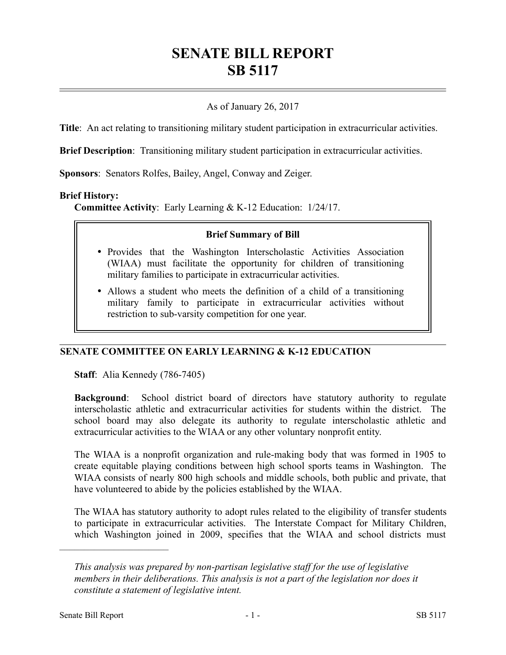# **SENATE BILL REPORT SB 5117**

# As of January 26, 2017

**Title**: An act relating to transitioning military student participation in extracurricular activities.

**Brief Description**: Transitioning military student participation in extracurricular activities.

**Sponsors**: Senators Rolfes, Bailey, Angel, Conway and Zeiger.

#### **Brief History:**

**Committee Activity**: Early Learning & K-12 Education: 1/24/17.

#### **Brief Summary of Bill**

- Provides that the Washington Interscholastic Activities Association (WIAA) must facilitate the opportunity for children of transitioning military families to participate in extracurricular activities.
- Allows a student who meets the definition of a child of a transitioning military family to participate in extracurricular activities without restriction to sub-varsity competition for one year.

# **SENATE COMMITTEE ON EARLY LEARNING & K-12 EDUCATION**

**Staff**: Alia Kennedy (786-7405)

**Background**: School district board of directors have statutory authority to regulate interscholastic athletic and extracurricular activities for students within the district. The school board may also delegate its authority to regulate interscholastic athletic and extracurricular activities to the WIAA or any other voluntary nonprofit entity.

The WIAA is a nonprofit organization and rule-making body that was formed in 1905 to create equitable playing conditions between high school sports teams in Washington. The WIAA consists of nearly 800 high schools and middle schools, both public and private, that have volunteered to abide by the policies established by the WIAA.

The WIAA has statutory authority to adopt rules related to the eligibility of transfer students to participate in extracurricular activities. The Interstate Compact for Military Children, which Washington joined in 2009, specifies that the WIAA and school districts must

––––––––––––––––––––––

*This analysis was prepared by non-partisan legislative staff for the use of legislative members in their deliberations. This analysis is not a part of the legislation nor does it constitute a statement of legislative intent.*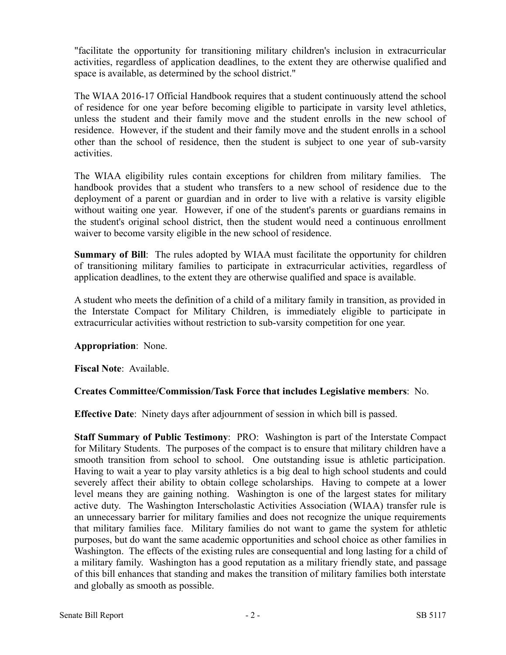"facilitate the opportunity for transitioning military children's inclusion in extracurricular activities, regardless of application deadlines, to the extent they are otherwise qualified and space is available, as determined by the school district."

The WIAA 2016-17 Official Handbook requires that a student continuously attend the school of residence for one year before becoming eligible to participate in varsity level athletics, unless the student and their family move and the student enrolls in the new school of residence. However, if the student and their family move and the student enrolls in a school other than the school of residence, then the student is subject to one year of sub-varsity activities.

The WIAA eligibility rules contain exceptions for children from military families. The handbook provides that a student who transfers to a new school of residence due to the deployment of a parent or guardian and in order to live with a relative is varsity eligible without waiting one year. However, if one of the student's parents or guardians remains in the student's original school district, then the student would need a continuous enrollment waiver to become varsity eligible in the new school of residence.

**Summary of Bill**: The rules adopted by WIAA must facilitate the opportunity for children of transitioning military families to participate in extracurricular activities, regardless of application deadlines, to the extent they are otherwise qualified and space is available.

A student who meets the definition of a child of a military family in transition, as provided in the Interstate Compact for Military Children, is immediately eligible to participate in extracurricular activities without restriction to sub-varsity competition for one year.

# **Appropriation**: None.

**Fiscal Note**: Available.

# **Creates Committee/Commission/Task Force that includes Legislative members**: No.

**Effective Date**: Ninety days after adjournment of session in which bill is passed.

**Staff Summary of Public Testimony**: PRO: Washington is part of the Interstate Compact for Military Students. The purposes of the compact is to ensure that military children have a smooth transition from school to school. One outstanding issue is athletic participation. Having to wait a year to play varsity athletics is a big deal to high school students and could severely affect their ability to obtain college scholarships. Having to compete at a lower level means they are gaining nothing. Washington is one of the largest states for military active duty. The Washington Interscholastic Activities Association (WIAA) transfer rule is an unnecessary barrier for military families and does not recognize the unique requirements that military families face. Military families do not want to game the system for athletic purposes, but do want the same academic opportunities and school choice as other families in Washington. The effects of the existing rules are consequential and long lasting for a child of a military family. Washington has a good reputation as a military friendly state, and passage of this bill enhances that standing and makes the transition of military families both interstate and globally as smooth as possible.